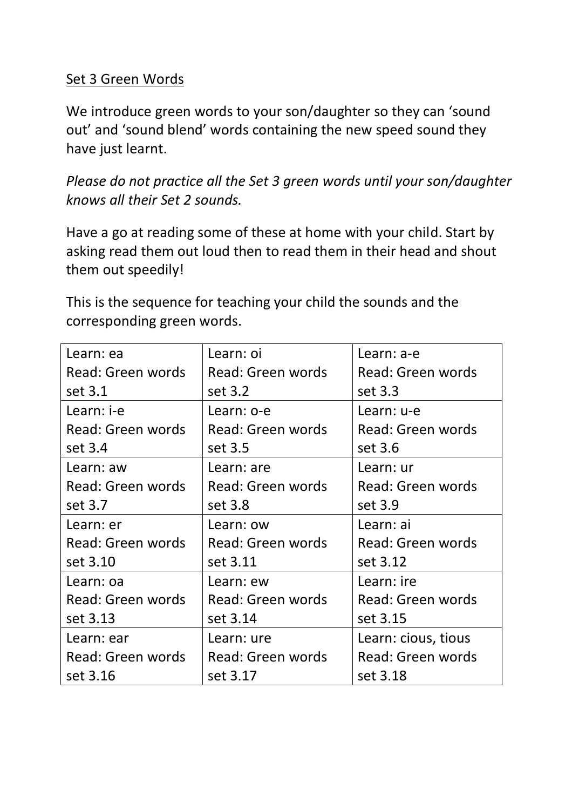## Set 3 Green Words

We introduce green words to your son/daughter so they can 'sound out' and 'sound blend' words containing the new speed sound they have just learnt.

*Please do not practice all the Set 3 green words until your son/daughter knows all their Set 2 sounds.* 

Have a go at reading some of these at home with your child. Start by asking read them out loud then to read them in their head and shout them out speedily!

This is the sequence for teaching your child the sounds and the corresponding green words.

| Learn: ea         | Learn: oi         | Learn: a-e          |
|-------------------|-------------------|---------------------|
| Read: Green words | Read: Green words | Read: Green words   |
| set 3.1           | set 3.2           | set 3.3             |
| Learn: i-e        | Learn: o-e        | Learn: u-e          |
| Read: Green words | Read: Green words | Read: Green words   |
| set 3.4           | set 3.5           | set 3.6             |
| Learn: aw         | Learn: are        | Learn: ur           |
| Read: Green words | Read: Green words | Read: Green words   |
| set 3.7           | set 3.8           | set 3.9             |
| Learn: er         | Learn: ow         | Learn: ai           |
| Read: Green words | Read: Green words | Read: Green words   |
| set 3.10          | set 3.11          | set 3.12            |
| Learn: oa         | Learn: ew         | Learn: ire          |
| Read: Green words | Read: Green words | Read: Green words   |
| set 3.13          | set 3.14          | set 3.15            |
| Learn: ear        | Learn: ure        | Learn: cious, tious |
| Read: Green words | Read: Green words | Read: Green words   |
| set 3.16          | set 3.17          | set 3.18            |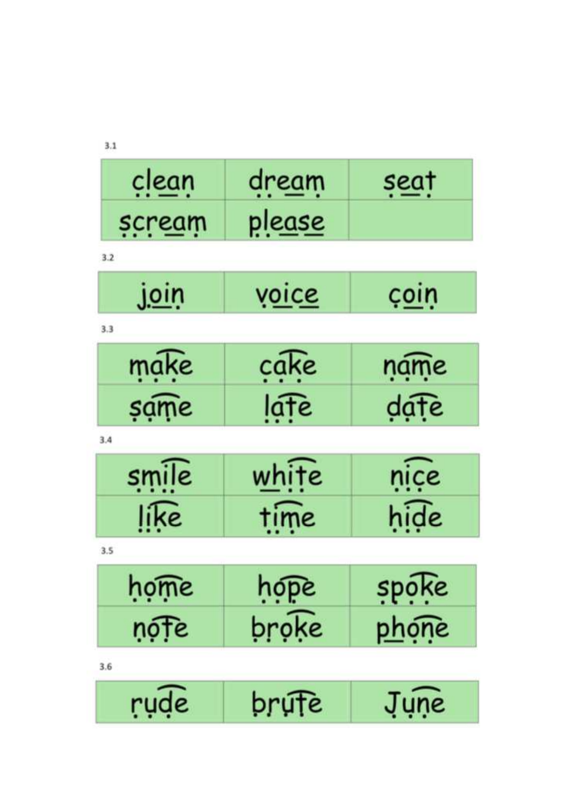| clean       | dream         | <u>seat</u>  |
|-------------|---------------|--------------|
| scream      | <u>please</u> |              |
| 3.2         |               |              |
| <u>join</u> | <u>voice</u>  | coin         |
| 3.3         |               |              |
| make        | cake          | name         |
| same        | late          | date         |
| 3.4         |               |              |
| smile       | white         | nice         |
| like        | time          | hide         |
| 3.5         |               |              |
| home        | nope          | spoke        |
| ņófe        | broke         | <u>phọne</u> |
| 3.6         |               |              |
| rude        | brute         | June         |

 $3.1$ **Contract Contract**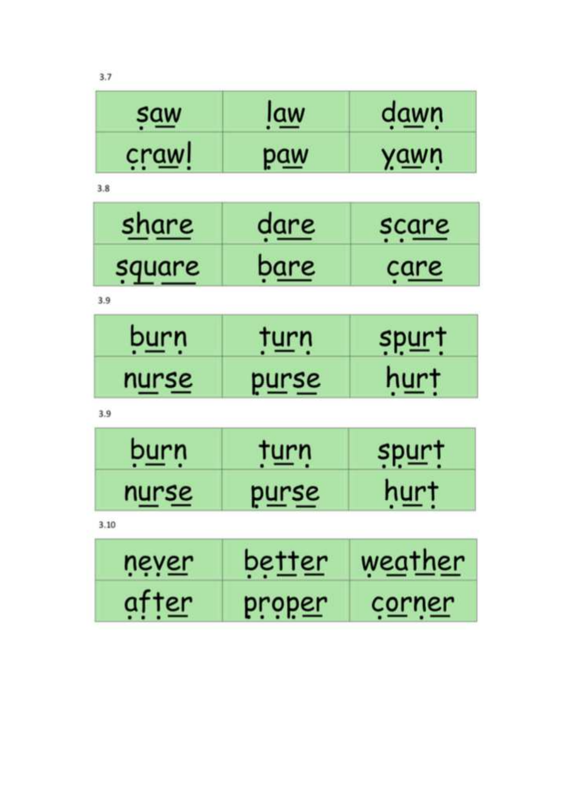| <u>saw</u>    | <u>law</u>    | dawn           |
|---------------|---------------|----------------|
| crawl         | <u>paw</u>    | <u>yawn</u>    |
| 3.8           |               |                |
| <u>share</u>  | <u>dare</u>   | scare          |
| square        | <u>bare</u>   | <u>çare</u>    |
| 3.9           |               |                |
| <u>burn</u>   | <u>turn</u>   | spurt          |
| n <u>urse</u> | <u>purse</u>  | <u>hurt</u>    |
| 3.9           |               |                |
| b <u>urn</u>  | <u>turn</u>   | <u>spurt</u>   |
| n <u>urse</u> | <u>purse</u>  | <u>hurt</u>    |
| 3.10          |               |                |
| never         | <u>better</u> | <u>weather</u> |
| after         | <u>proper</u> | c <u>orner</u> |

 $3.7$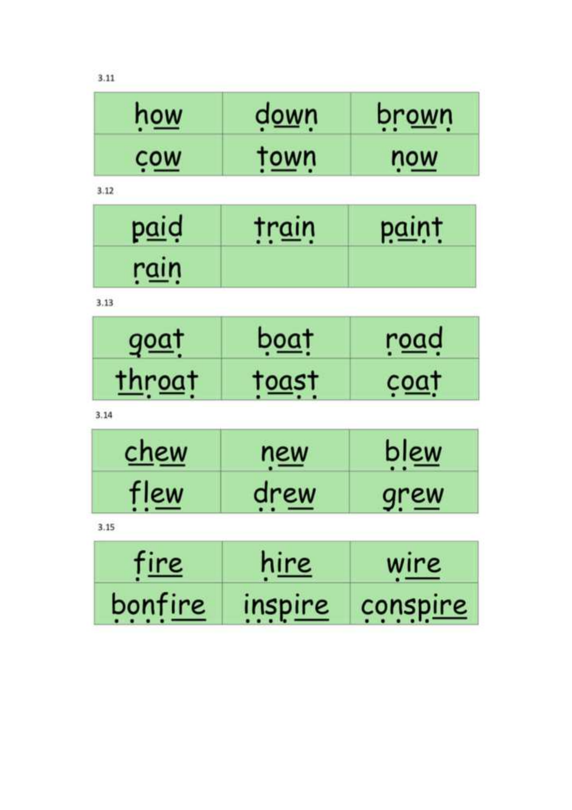$3.11$ 

| how | down | prown |
|-----|------|-------|
| cow | town | now   |

 $3.12$ 

| naid | train | <b>paint</b> |
|------|-------|--------------|
| rain |       |              |

 $3.13$ 

| anat           | pogt  | road              |
|----------------|-------|-------------------|
| <b>TAPOGIT</b> | togst | C <sub>0</sub> AT |

 $3.14$ 

| chew | new  | blew        |
|------|------|-------------|
| flew | drew | <u>grew</u> |

 $3.15$ 

| <u>fire</u> | <u>hire</u> | wire     |
|-------------|-------------|----------|
| bonfire     | inspire     | conspire |